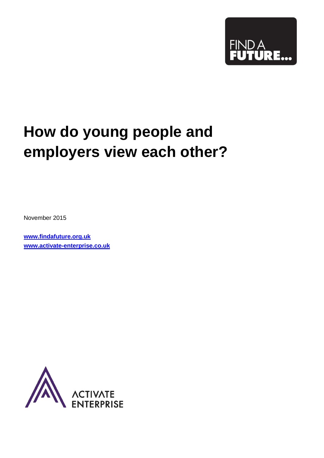

# **How do young people and employers view each other?**

November 2015

**[www.findafuture.org.uk](http://www.findafuture.org.uk/) [www.activate-enterprise.co.uk](http://www.activate-enterprise.co.uk/)**

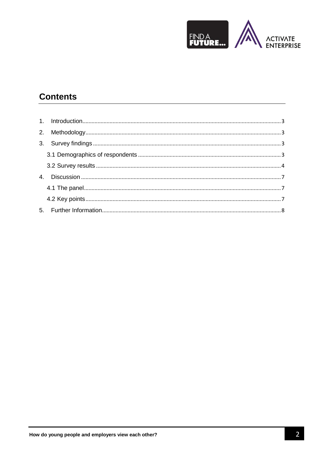

# **Contents**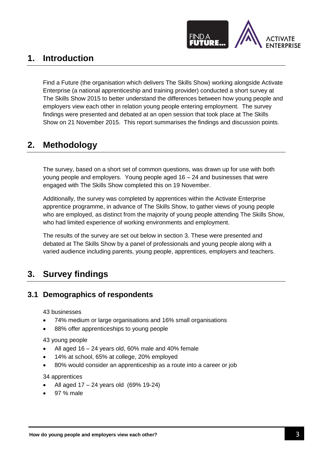

# <span id="page-2-0"></span>**1. Introduction**

Find a Future (the organisation which delivers The Skills Show) working alongside Activate Enterprise (a national apprenticeship and training provider) conducted a short survey at The Skills Show 2015 to better understand the differences between how young people and employers view each other in relation young people entering employment. The survey findings were presented and debated at an open session that took place at The Skills Show on 21 November 2015. This report summarises the findings and discussion points.

# <span id="page-2-1"></span>**2. Methodology**

The survey, based on a short set of common questions, was drawn up for use with both young people and employers. Young people aged 16 – 24 and businesses that were engaged with The Skills Show completed this on 19 November.

Additionally, the survey was completed by apprentices within the Activate Enterprise apprentice programme, in advance of The Skills Show, to gather views of young people who are employed, as distinct from the majority of young people attending The Skills Show, who had limited experience of working environments and employment.

The results of the survey are set out below in section 3. These were presented and debated at The Skills Show by a panel of professionals and young people along with a varied audience including parents, young people, apprentices, employers and teachers.

## <span id="page-2-2"></span>**3. Survey findings**

## <span id="page-2-3"></span>**3.1 Demographics of respondents**

43 businesses

- 74% medium or large organisations and 16% small organisations
- 88% offer apprenticeships to young people

43 young people

- All aged 16 24 years old, 60% male and 40% female
- 14% at school, 65% at college, 20% employed
- 80% would consider an apprenticeship as a route into a career or job

34 apprentices

- All aged 17 24 years old (69% 19-24)
- 97 % male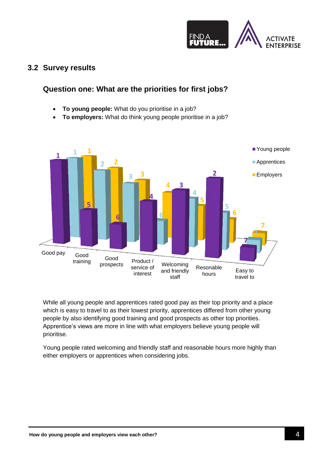

## <span id="page-3-0"></span>**3.2 Survey results**

## **Question one: What are the priorities for first jobs?**

- **To young people:** What do you prioritise in a job?
- **To employers:** What do think young people prioritise in a job?



While all young people and apprentices rated good pay as their top priority and a place which is easy to travel to as their lowest priority, apprentices differed from other young people by also identifying good training and good prospects as other top priorities. Apprentice's views are more in line with what employers believe young people will prioritise.

Young people rated welcoming and friendly staff and reasonable hours more highly than either employers or apprentices when considering jobs.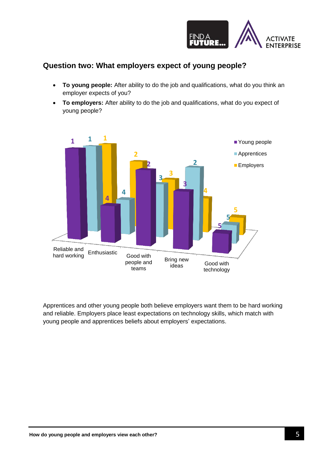

## **Question two: What employers expect of young people?**

- **To young people:** After ability to do the job and qualifications, what do you think an employer expects of you?
- **To employers:** After ability to do the job and qualifications, what do you expect of young people?



Apprentices and other young people both believe employers want them to be hard working and reliable. Employers place least expectations on technology skills, which match with young people and apprentices beliefs about employers' expectations.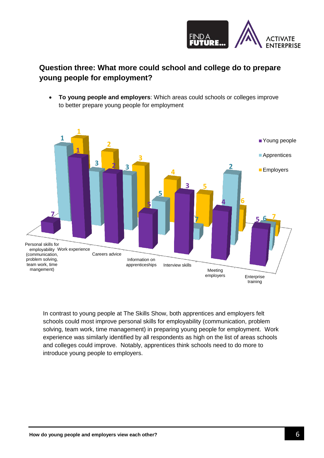

## **Question three: What more could school and college do to prepare young people for employment?**

 **To young people and employers**: Which areas could schools or colleges improve to better prepare young people for employment



In contrast to young people at The Skills Show, both apprentices and employers felt schools could most improve personal skills for employability (communication, problem solving, team work, time management) in preparing young people for employment. Work experience was similarly identified by all respondents as high on the list of areas schools and colleges could improve. Notably, apprentices think schools need to do more to introduce young people to employers.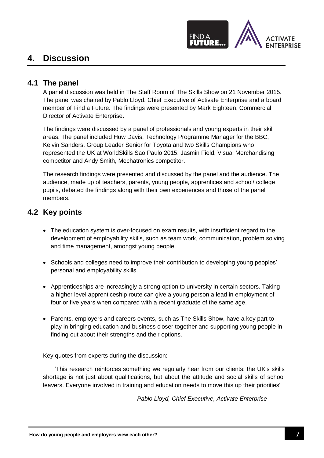

# <span id="page-6-1"></span><span id="page-6-0"></span>**4. Discussion**

### **4.1 The panel**

A panel discussion was held in The Staff Room of The Skills Show on 21 November 2015. The panel was chaired by Pablo Lloyd, Chief Executive of Activate Enterprise and a board member of Find a Future. The findings were presented by Mark Eighteen, Commercial Director of Activate Enterprise.

The findings were discussed by a panel of professionals and young experts in their skill areas. The panel included Huw Davis, Technology Programme Manager for the BBC, Kelvin Sanders, Group Leader Senior for Toyota and two Skills Champions who represented the UK at WorldSkills Sao Paulo 2015; Jasmin Field, Visual Merchandising competitor and Andy Smith, Mechatronics competitor.

The research findings were presented and discussed by the panel and the audience. The audience, made up of teachers, parents, young people, apprentices and school/ college pupils, debated the findings along with their own experiences and those of the panel members.

#### <span id="page-6-2"></span>**4.2 Key points**

- The education system is over-focused on exam results, with insufficient regard to the development of employability skills, such as team work, communication, problem solving and time management, amongst young people.
- Schools and colleges need to improve their contribution to developing young peoples' personal and employability skills.
- Apprenticeships are increasingly a strong option to university in certain sectors. Taking a higher level apprenticeship route can give a young person a lead in employment of four or five years when compared with a recent graduate of the same age.
- Parents, employers and careers events, such as The Skills Show, have a key part to play in bringing education and business closer together and supporting young people in finding out about their strengths and their options.

Key quotes from experts during the discussion:

'This research reinforces something we regularly hear from our clients: the UK's skills shortage is not just about qualifications, but about the attitude and social skills of school leavers. Everyone involved in training and education needs to move this up their priorities'

*Pablo Lloyd, Chief Executive, Activate Enterprise*